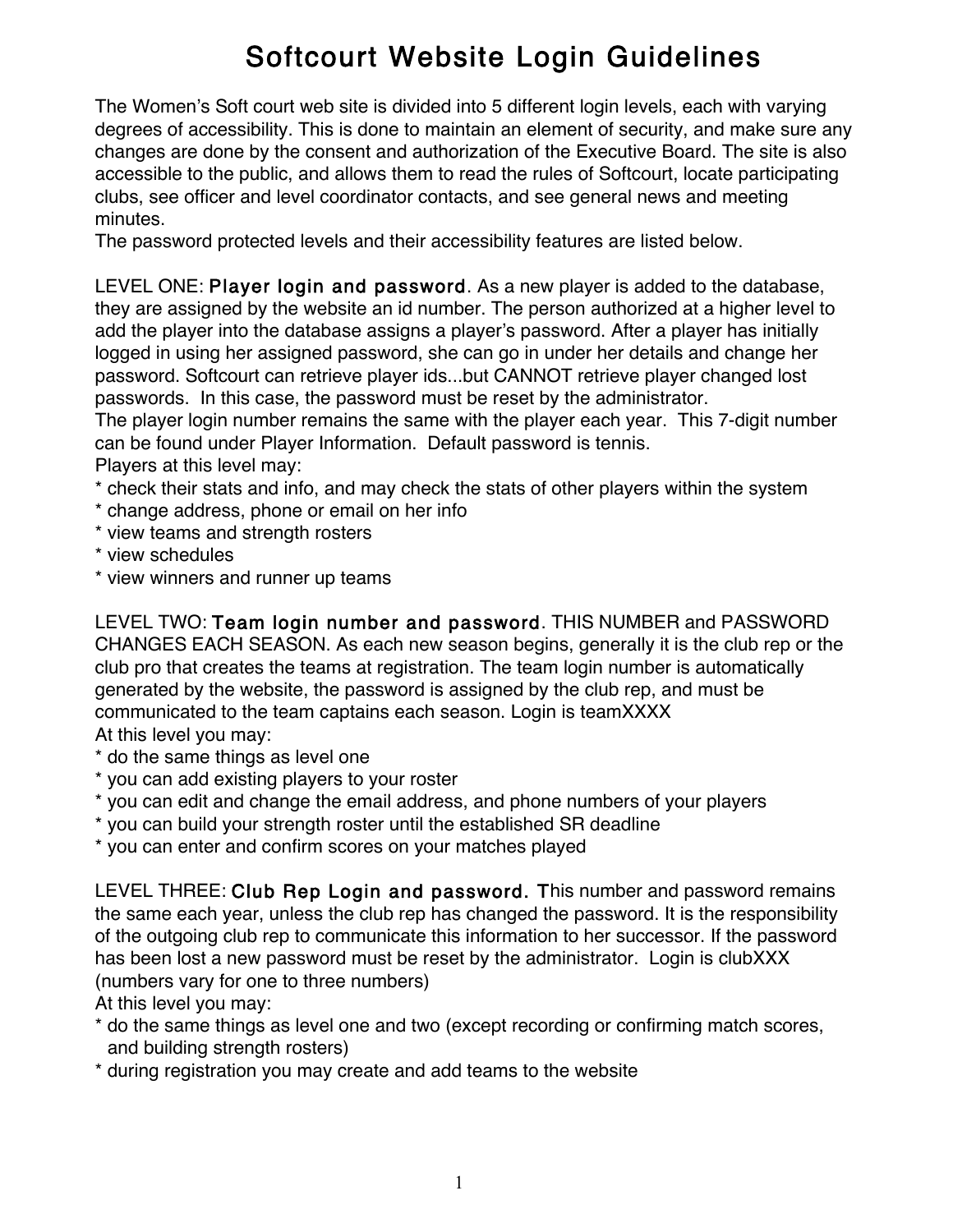## Softcourt Website Login Guidelines

The Women's Soft court web site is divided into 5 different login levels, each with varying degrees of accessibility. This is done to maintain an element of security, and make sure any changes are done by the consent and authorization of the Executive Board. The site is also accessible to the public, and allows them to read the rules of Softcourt, locate participating clubs, see officer and level coordinator contacts, and see general news and meeting minutes.

The password protected levels and their accessibility features are listed below.

LEVEL ONE: Player login and password. As a new player is added to the database, they are assigned by the website an id number. The person authorized at a higher level to add the player into the database assigns a player's password. After a player has initially logged in using her assigned password, she can go in under her details and change her password. Softcourt can retrieve player ids...but CANNOT retrieve player changed lost passwords. In this case, the password must be reset by the administrator.

The player login number remains the same with the player each year. This 7-digit number can be found under Player Information. Default password is tennis.

Players at this level may:

- \* check their stats and info, and may check the stats of other players within the system
- \* change address, phone or email on her info
- \* view teams and strength rosters
- \* view schedules
- \* view winners and runner up teams

LEVEL TWO: Team login number and password. THIS NUMBER and PASSWORD CHANGES EACH SEASON. As each new season begins, generally it is the club rep or the club pro that creates the teams at registration. The team login number is automatically generated by the website, the password is assigned by the club rep, and must be communicated to the team captains each season. Login is teamXXXX At this level you may:

- \* do the same things as level one
- \* you can add existing players to your roster
- \* you can edit and change the email address, and phone numbers of your players
- \* you can build your strength roster until the established SR deadline

\* you can enter and confirm scores on your matches played

LEVEL THREE: Club Rep Login and password. This number and password remains the same each year, unless the club rep has changed the password. It is the responsibility of the outgoing club rep to communicate this information to her successor. If the password has been lost a new password must be reset by the administrator. Login is clubXXX (numbers vary for one to three numbers)

At this level you may:

- \* do the same things as level one and two (except recording or confirming match scores, and building strength rosters)
- \* during registration you may create and add teams to the website